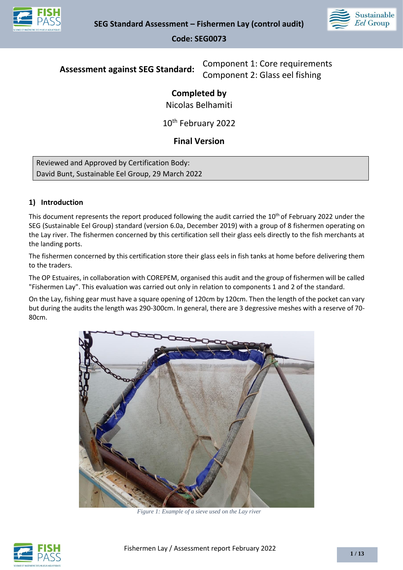



**Assessment against SEG Standard:** Component 1: Core requirements Component 2: Glass eel fishing

# **Completed by**

Nicolas Belhamiti

10th February 2022

## **Final Version**

Reviewed and Approved by Certification Body: David Bunt, Sustainable Eel Group, 29 March 2022

## **1) Introduction**

This document represents the report produced following the audit carried the 10<sup>th</sup> of February 2022 under the SEG (Sustainable Eel Group) standard (version 6.0a, December 2019) with a group of 8 fishermen operating on the Lay river. The fishermen concerned by this certification sell their glass eels directly to the fish merchants at the landing ports.

The fishermen concerned by this certification store their glass eels in fish tanks at home before delivering them to the traders.

The OP Estuaires, in collaboration with COREPEM, organised this audit and the group of fishermen will be called "Fishermen Lay". This evaluation was carried out only in relation to components 1 and 2 of the standard.

On the Lay, fishing gear must have a square opening of 120cm by 120cm. Then the length of the pocket can vary but during the audits the length was 290-300cm. In general, there are 3 degressive meshes with a reserve of 70- 80cm.



*Figure 1: Example of a sieve used on the Lay river*

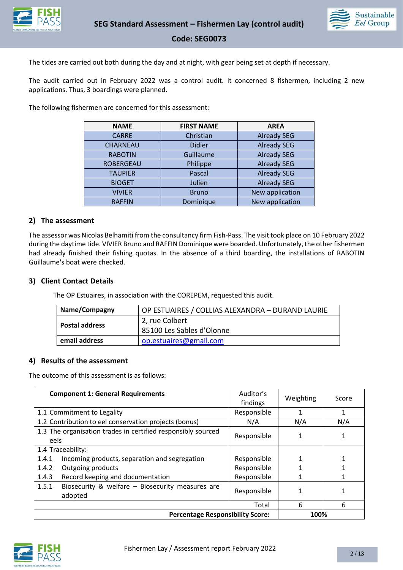



The tides are carried out both during the day and at night, with gear being set at depth if necessary.

The audit carried out in February 2022 was a control audit. It concerned 8 fishermen, including 2 new applications. Thus, 3 boardings were planned.

The following fishermen are concerned for this assessment:

| <b>NAME</b>      | <b>FIRST NAME</b>               | <b>AREA</b>        |
|------------------|---------------------------------|--------------------|
| <b>CARRE</b>     | Christian                       | <b>Already SEG</b> |
| CHARNEAU         | <b>Didier</b>                   | <b>Already SEG</b> |
| <b>RABOTIN</b>   | <b>Already SEG</b><br>Guillaume |                    |
| <b>ROBERGEAU</b> | <b>Already SEG</b><br>Philippe  |                    |
| <b>TAUPIER</b>   | <b>Already SEG</b><br>Pascal    |                    |
| <b>BIOGET</b>    | Julien                          | <b>Already SEG</b> |
| <b>VIVIER</b>    | New application<br><b>Bruno</b> |                    |
| <b>RAFFIN</b>    | New application<br>Dominique    |                    |

#### **2) The assessment**

The assessor was Nicolas Belhamiti from the consultancy firm Fish-Pass. The visit took place on 10 February 2022 during the daytime tide. VIVIER Bruno and RAFFIN Dominique were boarded. Unfortunately, the other fishermen had already finished their fishing quotas. In the absence of a third boarding, the installations of RABOTIN Guillaume's boat were checked.

#### **3) Client Contact Details**

The OP Estuaires, in association with the COREPEM, requested this audit.

| Name/Compagny         | OP ESTUAIRES / COLLIAS ALEXANDRA - DURAND LAURIE |  |
|-----------------------|--------------------------------------------------|--|
| <b>Postal address</b> | 2, rue Colbert                                   |  |
|                       | 85100 Les Sables d'Olonne                        |  |
| email address         | op.estuaires@gmail.com                           |  |

#### **4) Results of the assessment**

The outcome of this assessment is as follows:

| <b>Component 1: General Requirements</b>                             | Auditor's<br>findings | Weighting | Score |
|----------------------------------------------------------------------|-----------------------|-----------|-------|
| 1.1 Commitment to Legality                                           | Responsible           |           | 1     |
| 1.2 Contribution to eel conservation projects (bonus)                | N/A                   | N/A       | N/A   |
| 1.3 The organisation trades in certified responsibly sourced<br>eels | Responsible           |           |       |
| 1.4 Traceability:                                                    |                       |           |       |
| Incoming products, separation and segregation<br>1.4.1               | Responsible           |           |       |
| 1.4.2<br>Outgoing products                                           | Responsible           |           |       |
| Record keeping and documentation<br>1.4.3                            | Responsible           |           |       |
| 1.5.1<br>Biosecurity & welfare - Biosecurity measures are<br>adopted | Responsible           |           |       |
|                                                                      | Total                 | 6         | 6     |
| <b>Percentage Responsibility Score:</b>                              |                       | 100%      |       |

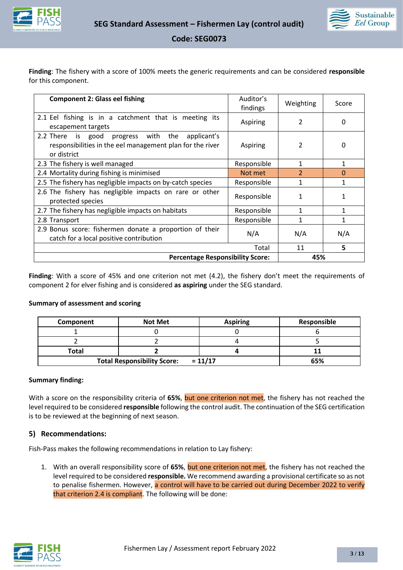



**Finding**: The fishery with a score of 100% meets the generic requirements and can be considered **responsible** for this component.

| <b>Component 2: Glass eel fishing</b>                                                                                                   | Auditor's<br>findings | Weighting      | Score        |
|-----------------------------------------------------------------------------------------------------------------------------------------|-----------------------|----------------|--------------|
| 2.1 Eel fishing is in a catchment that is meeting its<br>escapement targets                                                             | Aspiring              | 2              | $\Omega$     |
| 2.2 There<br>is good<br>progress with<br>the<br>applicant's<br>responsibilities in the eel management plan for the river<br>or district | Aspiring              | 2              | 0            |
| 2.3 The fishery is well managed                                                                                                         | Responsible           | 1              | $\mathbf{1}$ |
| 2.4 Mortality during fishing is minimised                                                                                               | Not met               | $\overline{2}$ | $\Omega$     |
| 2.5 The fishery has negligible impacts on by-catch species                                                                              | Responsible           | 1              | 1            |
| 2.6 The fishery has negligible impacts on rare or other<br>protected species                                                            | Responsible           | 1              |              |
| 2.7 The fishery has negligible impacts on habitats                                                                                      | Responsible           |                |              |
| 2.8 Transport                                                                                                                           | Responsible           |                |              |
| 2.9 Bonus score: fishermen donate a proportion of their<br>catch for a local positive contribution                                      | N/A                   | N/A            | N/A          |
|                                                                                                                                         | Total                 | 11             | 5            |
| <b>Percentage Responsibility Score:</b>                                                                                                 |                       | 45%            |              |

**Finding**: With a score of 45% and one criterion not met (4.2), the fishery don't meet the requirements of component 2 for elver fishing and is considered **as aspiring** under the SEG standard.

#### **Summary of assessment and scoring**

| Component                                              | <b>Not Met</b> | <b>Aspiring</b> | Responsible |
|--------------------------------------------------------|----------------|-----------------|-------------|
|                                                        |                |                 |             |
|                                                        |                |                 |             |
| Total                                                  |                |                 |             |
| $= 11/17$<br><b>Total Responsibility Score:</b><br>65% |                |                 |             |

#### **Summary finding:**

With a score on the responsibility criteria of **65%**, but one criterion not met, the fishery has not reached the level required to be considered **responsible** following the control audit. The continuation of the SEG certification is to be reviewed at the beginning of next season.

#### **5) Recommendations:**

Fish-Pass makes the following recommendations in relation to Lay fishery:

1. With an overall responsibility score of **65%**, but one criterion not met, the fishery has not reached the level required to be considered **responsible.** We recommend awarding a provisional certificate so as not to penalise fishermen. However, a control will have to be carried out during December 2022 to verify that criterion 2.4 is compliant. The following will be done:

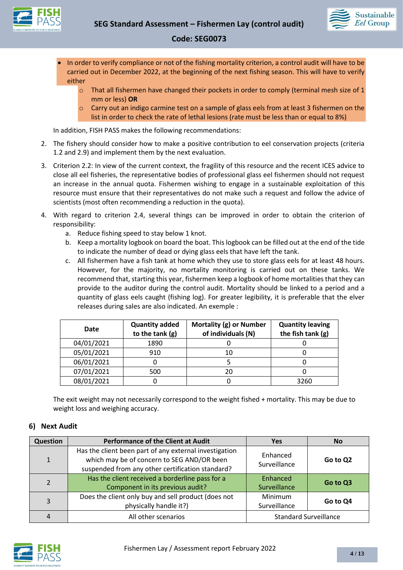

- In order to verify compliance or not of the fishing mortality criterion, a control audit will have to be carried out in December 2022, at the beginning of the next fishing season. This will have to verify either
	- $\circ$  That all fishermen have changed their pockets in order to comply (terminal mesh size of 1 mm or less) **OR**
	- o Carry out an indigo carmine test on a sample of glass eels from at least 3 fishermen on the list in order to check the rate of lethal lesions (rate must be less than or equal to 8%)

In addition, FISH PASS makes the following recommendations:

- 2. The fishery should consider how to make a positive contribution to eel conservation projects (criteria 1.2 and 2.9) and implement them by the next evaluation.
- 3. Criterion 2.2: In view of the current context, the fragility of this resource and the recent ICES advice to close all eel fisheries, the representative bodies of professional glass eel fishermen should not request an increase in the annual quota. Fishermen wishing to engage in a sustainable exploitation of this resource must ensure that their representatives do not make such a request and follow the advice of scientists (most often recommending a reduction in the quota).
- 4. With regard to criterion 2.4, several things can be improved in order to obtain the criterion of responsibility:
	- a. Reduce fishing speed to stay below 1 knot.
	- b. Keep a mortality logbook on board the boat. This logbook can be filled out at the end of the tide to indicate the number of dead or dying glass eels that have left the tank.
	- c. All fishermen have a fish tank at home which they use to store glass eels for at least 48 hours. However, for the majority, no mortality monitoring is carried out on these tanks. We recommend that, starting this year, fishermen keep a logbook of home mortalities that they can provide to the auditor during the control audit. Mortality should be linked to a period and a quantity of glass eels caught (fishing log). For greater legibility, it is preferable that the elver releases during sales are also indicated. An exemple :

| Date       | <b>Quantity added</b><br>to the tank $(g)$ | Mortality (g) or Number<br>of individuals (N) | <b>Quantity leaving</b><br>the fish tank $(g)$ |
|------------|--------------------------------------------|-----------------------------------------------|------------------------------------------------|
| 04/01/2021 | 1890                                       |                                               |                                                |
| 05/01/2021 | 910                                        |                                               |                                                |
| 06/01/2021 |                                            |                                               |                                                |
| 07/01/2021 | 500                                        |                                               |                                                |
| 08/01/2021 |                                            |                                               | 3260                                           |

The exit weight may not necessarily correspond to the weight fished + mortality. This may be due to weight loss and weighing accuracy.

#### **6) Next Audit**

| <b>Question</b> | <b>Performance of the Client at Audit</b>                                                                                                                | <b>Yes</b>                     | <b>No</b> |
|-----------------|----------------------------------------------------------------------------------------------------------------------------------------------------------|--------------------------------|-----------|
| $\mathbf{1}$    | Has the client been part of any external investigation<br>which may be of concern to SEG AND/OR been<br>suspended from any other certification standard? | Enhanced<br>Surveillance       | Go to Q2  |
| $\overline{2}$  | Has the client received a borderline pass for a<br>Component in its previous audit?                                                                      | Enhanced<br>Surveillance       | Go to Q3  |
| 3               | Does the client only buy and sell product (does not<br>physically handle it?)                                                                            | <b>Minimum</b><br>Surveillance | Go to Q4  |
| 4               | All other scenarios                                                                                                                                      | <b>Standard Surveillance</b>   |           |

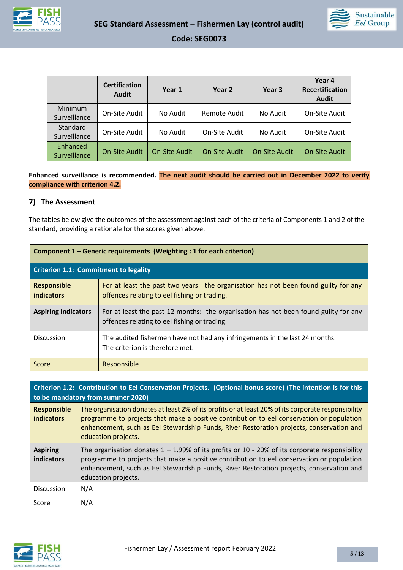



|                          | <b>Certification</b><br><b>Audit</b> | Year 1               | Year 2               | Year <sub>3</sub>    | Year 4<br><b>Recertification</b><br><b>Audit</b> |
|--------------------------|--------------------------------------|----------------------|----------------------|----------------------|--------------------------------------------------|
| Minimum<br>Surveillance  | On-Site Audit                        | No Audit             | Remote Audit         | No Audit             | On-Site Audit                                    |
| Standard<br>Surveillance | On-Site Audit                        | No Audit             | On-Site Audit        | No Audit             | On-Site Audit                                    |
| Enhanced<br>Surveillance | <b>On-Site Audit</b>                 | <b>On-Site Audit</b> | <b>On-Site Audit</b> | <b>On-Site Audit</b> | <b>On-Site Audit</b>                             |

**Enhanced surveillance is recommended. The next audit should be carried out in December 2022 to verify compliance with criterion 4.2.**

#### **7) The Assessment**

The tables below give the outcomes of the assessment against each of the criteria of Components 1 and 2 of the standard, providing a rationale for the scores given above.

| Component 1 – Generic requirements (Weighting : 1 for each criterion) |                                                                                                                                     |  |
|-----------------------------------------------------------------------|-------------------------------------------------------------------------------------------------------------------------------------|--|
| <b>Criterion 1.1: Commitment to legality</b>                          |                                                                                                                                     |  |
| <b>Responsible</b><br>indicators                                      | For at least the past two years: the organisation has not been found guilty for any<br>offences relating to eel fishing or trading. |  |
| <b>Aspiring indicators</b>                                            | For at least the past 12 months: the organisation has not been found guilty for any<br>offences relating to eel fishing or trading. |  |
| <b>Discussion</b>                                                     | The audited fishermen have not had any infringements in the last 24 months.<br>The criterion is therefore met.                      |  |
| Score                                                                 | Responsible                                                                                                                         |  |

| Criterion 1.2: Contribution to Eel Conservation Projects. (Optional bonus score) (The intention is for this<br>to be mandatory from summer 2020) |                                                                                                                                                                                                                                                                                                                     |  |
|--------------------------------------------------------------------------------------------------------------------------------------------------|---------------------------------------------------------------------------------------------------------------------------------------------------------------------------------------------------------------------------------------------------------------------------------------------------------------------|--|
| <b>Responsible</b><br><b>indicators</b>                                                                                                          | The organisation donates at least 2% of its profits or at least 20% of its corporate responsibility<br>programme to projects that make a positive contribution to eel conservation or population<br>enhancement, such as Eel Stewardship Funds, River Restoration projects, conservation and<br>education projects. |  |
| <b>Aspiring</b><br>indicators                                                                                                                    | The organisation donates $1 - 1.99\%$ of its profits or 10 - 20% of its corporate responsibility<br>programme to projects that make a positive contribution to eel conservation or population<br>enhancement, such as Eel Stewardship Funds, River Restoration projects, conservation and<br>education projects.    |  |
| <b>Discussion</b>                                                                                                                                | N/A                                                                                                                                                                                                                                                                                                                 |  |
| Score                                                                                                                                            | N/A                                                                                                                                                                                                                                                                                                                 |  |

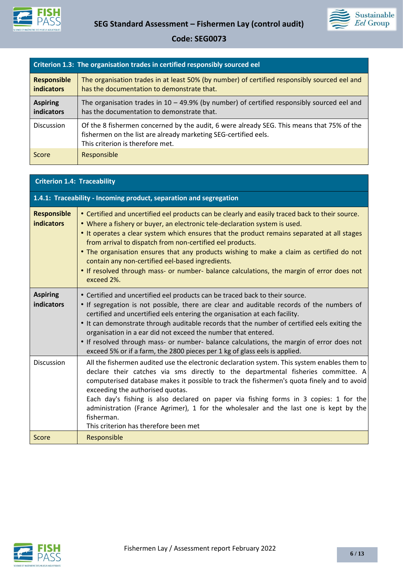



| Criterion 1.3: The organisation trades in certified responsibly sourced eel |                                                                                                                                                                                                  |  |
|-----------------------------------------------------------------------------|--------------------------------------------------------------------------------------------------------------------------------------------------------------------------------------------------|--|
| <b>Responsible</b><br><b>indicators</b>                                     | The organisation trades in at least 50% (by number) of certified responsibly sourced eel and<br>has the documentation to demonstrate that.                                                       |  |
| <b>Aspiring</b><br>indicators                                               | The organisation trades in $10 - 49.9\%$ (by number) of certified responsibly sourced eel and<br>has the documentation to demonstrate that.                                                      |  |
| <b>Discussion</b>                                                           | Of the 8 fishermen concerned by the audit, 6 were already SEG. This means that 75% of the<br>fishermen on the list are already marketing SEG-certified eels.<br>This criterion is therefore met. |  |
| Score                                                                       | Responsible                                                                                                                                                                                      |  |

## **Criterion 1.4: Traceability**

|                                         | 1.4.1: Traceability - Incoming product, separation and segregation                                                                                                                                                                                                                                                                                                                                                                                                                                                                                                                                   |
|-----------------------------------------|------------------------------------------------------------------------------------------------------------------------------------------------------------------------------------------------------------------------------------------------------------------------------------------------------------------------------------------------------------------------------------------------------------------------------------------------------------------------------------------------------------------------------------------------------------------------------------------------------|
| <b>Responsible</b><br><b>indicators</b> | • Certified and uncertified eel products can be clearly and easily traced back to their source.<br>. Where a fishery or buyer, an electronic tele-declaration system is used.<br>• It operates a clear system which ensures that the product remains separated at all stages<br>from arrival to dispatch from non-certified eel products.<br>. The organisation ensures that any products wishing to make a claim as certified do not<br>contain any non-certified eel-based ingredients.<br>. If resolved through mass- or number- balance calculations, the margin of error does not<br>exceed 2%. |
| <b>Aspiring</b><br>indicators           | • Certified and uncertified eel products can be traced back to their source.<br>• If segregation is not possible, there are clear and auditable records of the numbers of<br>certified and uncertified eels entering the organisation at each facility.<br>. It can demonstrate through auditable records that the number of certified eels exiting the<br>organisation in a ear did not exceed the number that entered.<br>• If resolved through mass- or number- balance calculations, the margin of error does not<br>exceed 5% or if a farm, the 2800 pieces per 1 kg of glass eels is applied.  |
| <b>Discussion</b>                       | All the fishermen audited use the electronic declaration system. This system enables them to<br>declare their catches via sms directly to the departmental fisheries committee. A<br>computerised database makes it possible to track the fishermen's quota finely and to avoid<br>exceeding the authorised quotas.<br>Each day's fishing is also declared on paper via fishing forms in 3 copies: 1 for the<br>administration (France Agrimer), 1 for the wholesaler and the last one is kept by the<br>fisherman.<br>This criterion has therefore been met                                         |
| Score                                   | Responsible                                                                                                                                                                                                                                                                                                                                                                                                                                                                                                                                                                                          |

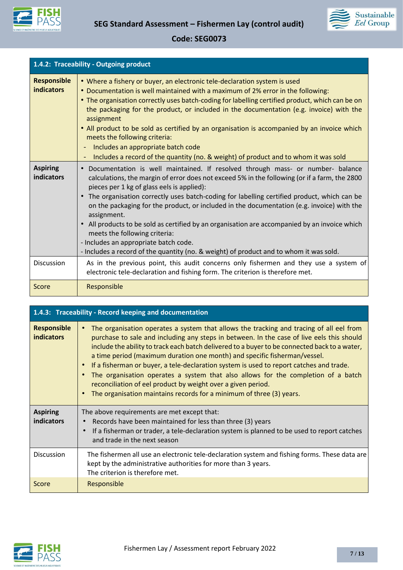



| 1.4.2: Traceability - Outgoing product  |                                                                                                                                                                                                                                                                                                                                                                                                                                                                                                                                                                                                                                                                                                                                       |
|-----------------------------------------|---------------------------------------------------------------------------------------------------------------------------------------------------------------------------------------------------------------------------------------------------------------------------------------------------------------------------------------------------------------------------------------------------------------------------------------------------------------------------------------------------------------------------------------------------------------------------------------------------------------------------------------------------------------------------------------------------------------------------------------|
| <b>Responsible</b><br><b>indicators</b> | • Where a fishery or buyer, an electronic tele-declaration system is used<br>• Documentation is well maintained with a maximum of 2% error in the following:<br>• The organisation correctly uses batch-coding for labelling certified product, which can be on<br>the packaging for the product, or included in the documentation (e.g. invoice) with the<br>assignment<br>• All product to be sold as certified by an organisation is accompanied by an invoice which<br>meets the following criteria:<br>Includes an appropriate batch code<br>Includes a record of the quantity (no. & weight) of product and to whom it was sold                                                                                                 |
| <b>Aspiring</b><br><b>indicators</b>    | Documentation is well maintained. If resolved through mass- or number- balance<br>$\bullet$<br>calculations, the margin of error does not exceed 5% in the following (or if a farm, the 2800<br>pieces per 1 kg of glass eels is applied):<br>The organisation correctly uses batch-coding for labelling certified product, which can be<br>on the packaging for the product, or included in the documentation (e.g. invoice) with the<br>assignment.<br>All products to be sold as certified by an organisation are accompanied by an invoice which<br>$\bullet$<br>meets the following criteria:<br>- Includes an appropriate batch code.<br>- Includes a record of the quantity (no. & weight) of product and to whom it was sold. |
| <b>Discussion</b>                       | As in the previous point, this audit concerns only fishermen and they use a system of<br>electronic tele-declaration and fishing form. The criterion is therefore met.                                                                                                                                                                                                                                                                                                                                                                                                                                                                                                                                                                |
| Score                                   | Responsible                                                                                                                                                                                                                                                                                                                                                                                                                                                                                                                                                                                                                                                                                                                           |

| 1.4.3: Traceability - Record keeping and documentation |                                                                                                                                                                                                                                                                                                                                                                                                                                                                                                                                                                                                                                                                                            |
|--------------------------------------------------------|--------------------------------------------------------------------------------------------------------------------------------------------------------------------------------------------------------------------------------------------------------------------------------------------------------------------------------------------------------------------------------------------------------------------------------------------------------------------------------------------------------------------------------------------------------------------------------------------------------------------------------------------------------------------------------------------|
| <b>Responsible</b><br><b>indicators</b>                | The organisation operates a system that allows the tracking and tracing of all eel from<br>purchase to sale and including any steps in between. In the case of live eels this should<br>include the ability to track each batch delivered to a buyer to be connected back to a water,<br>a time period (maximum duration one month) and specific fisherman/vessel.<br>If a fisherman or buyer, a tele-declaration system is used to report catches and trade.<br>The organisation operates a system that also allows for the completion of a batch<br>reconciliation of eel product by weight over a given period.<br>The organisation maintains records for a minimum of three (3) years. |
| <b>Aspiring</b><br>indicators                          | The above requirements are met except that:<br>Records have been maintained for less than three (3) years<br>If a fisherman or trader, a tele-declaration system is planned to be used to report catches<br>and trade in the next season                                                                                                                                                                                                                                                                                                                                                                                                                                                   |
| <b>Discussion</b>                                      | The fishermen all use an electronic tele-declaration system and fishing forms. These data are<br>kept by the administrative authorities for more than 3 years.<br>The criterion is therefore met.                                                                                                                                                                                                                                                                                                                                                                                                                                                                                          |
| Score                                                  | Responsible                                                                                                                                                                                                                                                                                                                                                                                                                                                                                                                                                                                                                                                                                |

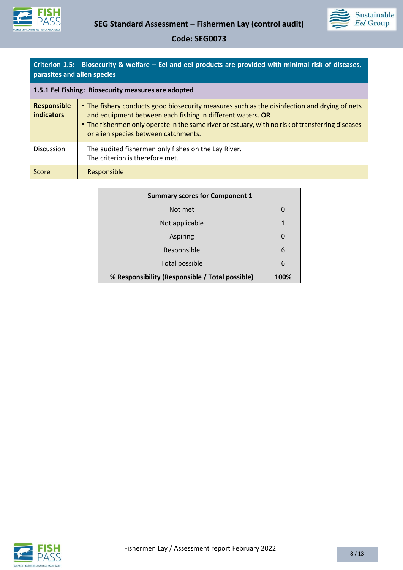



|                             | Criterion 1.5: Biosecurity & welfare – Eel and eel products are provided with minimal risk of diseases, |
|-----------------------------|---------------------------------------------------------------------------------------------------------|
| parasites and alien species |                                                                                                         |

| 1.5.1 Eel Fishing: Biosecurity measures are adopted |                                                                                                                                                                                                                                                                                                        |
|-----------------------------------------------------|--------------------------------------------------------------------------------------------------------------------------------------------------------------------------------------------------------------------------------------------------------------------------------------------------------|
| <b>Responsible</b><br><b>indicators</b>             | • The fishery conducts good biosecurity measures such as the disinfection and drying of nets<br>and equipment between each fishing in different waters. OR<br>• The fishermen only operate in the same river or estuary, with no risk of transferring diseases<br>or alien species between catchments. |
| <b>Discussion</b>                                   | The audited fishermen only fishes on the Lay River.<br>The criterion is therefore met.                                                                                                                                                                                                                 |
| Score                                               | Responsible                                                                                                                                                                                                                                                                                            |

| <b>Summary scores for Component 1</b>           |          |
|-------------------------------------------------|----------|
| Not met                                         |          |
| Not applicable                                  |          |
| <b>Aspiring</b>                                 | $\Omega$ |
| Responsible                                     | 6        |
| Total possible                                  | 6        |
| % Responsibility (Responsible / Total possible) | 100%     |

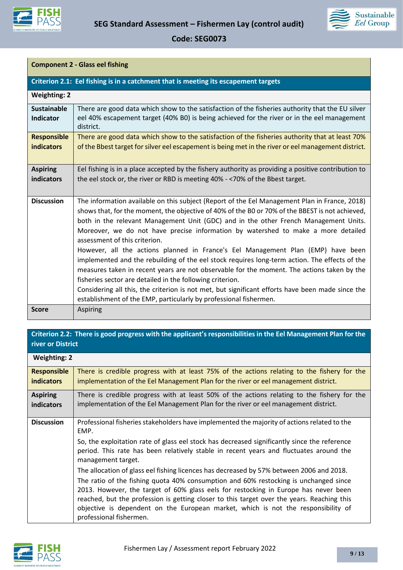



| <b>Component 2 - Glass eel fishing</b>  |                                                                                                                                                                                                                                                                                                                                                                                                                                                                                                                                                                                                                                                                                                                                                                                                                                                                                                                                         |  |
|-----------------------------------------|-----------------------------------------------------------------------------------------------------------------------------------------------------------------------------------------------------------------------------------------------------------------------------------------------------------------------------------------------------------------------------------------------------------------------------------------------------------------------------------------------------------------------------------------------------------------------------------------------------------------------------------------------------------------------------------------------------------------------------------------------------------------------------------------------------------------------------------------------------------------------------------------------------------------------------------------|--|
|                                         | Criterion 2.1: Eel fishing is in a catchment that is meeting its escapement targets                                                                                                                                                                                                                                                                                                                                                                                                                                                                                                                                                                                                                                                                                                                                                                                                                                                     |  |
| <b>Weighting: 2</b>                     |                                                                                                                                                                                                                                                                                                                                                                                                                                                                                                                                                                                                                                                                                                                                                                                                                                                                                                                                         |  |
| <b>Sustainable</b><br><b>Indicator</b>  | There are good data which show to the satisfaction of the fisheries authority that the EU silver<br>eel 40% escapement target (40% B0) is being achieved for the river or in the eel management<br>district.                                                                                                                                                                                                                                                                                                                                                                                                                                                                                                                                                                                                                                                                                                                            |  |
| <b>Responsible</b><br><b>indicators</b> | There are good data which show to the satisfaction of the fisheries authority that at least 70%<br>of the Bbest target for silver eel escapement is being met in the river or eel management district.                                                                                                                                                                                                                                                                                                                                                                                                                                                                                                                                                                                                                                                                                                                                  |  |
| <b>Aspiring</b><br>indicators           | Eel fishing is in a place accepted by the fishery authority as providing a positive contribution to<br>the eel stock or, the river or RBD is meeting 40% - <70% of the Bbest target.                                                                                                                                                                                                                                                                                                                                                                                                                                                                                                                                                                                                                                                                                                                                                    |  |
| <b>Discussion</b>                       | The information available on this subject (Report of the Eel Management Plan in France, 2018)<br>shows that, for the moment, the objective of 40% of the B0 or 70% of the BBEST is not achieved,<br>both in the relevant Management Unit (GDC) and in the other French Management Units.<br>Moreover, we do not have precise information by watershed to make a more detailed<br>assessment of this criterion.<br>However, all the actions planned in France's Eel Management Plan (EMP) have been<br>implemented and the rebuilding of the eel stock requires long-term action. The effects of the<br>measures taken in recent years are not observable for the moment. The actions taken by the<br>fisheries sector are detailed in the following criterion.<br>Considering all this, the criterion is not met, but significant efforts have been made since the<br>establishment of the EMP, particularly by professional fishermen. |  |
| <b>Score</b>                            | <b>Aspiring</b>                                                                                                                                                                                                                                                                                                                                                                                                                                                                                                                                                                                                                                                                                                                                                                                                                                                                                                                         |  |

## **Criterion 2.2: There is good progress with the applicant's responsibilities in the Eel Management Plan for the river or District**

| <b>Weighting: 2</b> |                                                                                                                                                                                                                                                                                                                                                                                                                                                                                                                                                                                                                                                                                                                                                                                                              |
|---------------------|--------------------------------------------------------------------------------------------------------------------------------------------------------------------------------------------------------------------------------------------------------------------------------------------------------------------------------------------------------------------------------------------------------------------------------------------------------------------------------------------------------------------------------------------------------------------------------------------------------------------------------------------------------------------------------------------------------------------------------------------------------------------------------------------------------------|
| <b>Responsible</b>  | There is credible progress with at least 75% of the actions relating to the fishery for the                                                                                                                                                                                                                                                                                                                                                                                                                                                                                                                                                                                                                                                                                                                  |
| <b>indicators</b>   | implementation of the Eel Management Plan for the river or eel management district.                                                                                                                                                                                                                                                                                                                                                                                                                                                                                                                                                                                                                                                                                                                          |
| <b>Aspiring</b>     | There is credible progress with at least 50% of the actions relating to the fishery for the                                                                                                                                                                                                                                                                                                                                                                                                                                                                                                                                                                                                                                                                                                                  |
| indicators          | implementation of the Eel Management Plan for the river or eel management district.                                                                                                                                                                                                                                                                                                                                                                                                                                                                                                                                                                                                                                                                                                                          |
| <b>Discussion</b>   | Professional fisheries stakeholders have implemented the majority of actions related to the<br>EMP.<br>So, the exploitation rate of glass eel stock has decreased significantly since the reference<br>period. This rate has been relatively stable in recent years and fluctuates around the<br>management target.<br>The allocation of glass eel fishing licences has decreased by 57% between 2006 and 2018.<br>The ratio of the fishing quota 40% consumption and 60% restocking is unchanged since<br>2013. However, the target of 60% glass eels for restocking in Europe has never been<br>reached, but the profession is getting closer to this target over the years. Reaching this<br>objective is dependent on the European market, which is not the responsibility of<br>professional fishermen. |

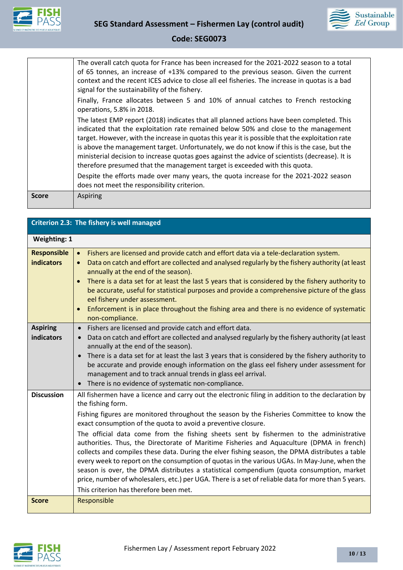



| <b>Score</b> | Aspiring                                                                                                                                                                                       |
|--------------|------------------------------------------------------------------------------------------------------------------------------------------------------------------------------------------------|
|              | Despite the efforts made over many years, the quota increase for the 2021-2022 season<br>does not meet the responsibility criterion.                                                           |
|              | ministerial decision to increase quotas goes against the advice of scientists (decrease). It is<br>therefore presumed that the management target is exceeded with this quota.                  |
|              | target. However, with the increase in quotas this year it is possible that the exploitation rate<br>is above the management target. Unfortunately, we do not know if this is the case, but the |
|              | The latest EMP report (2018) indicates that all planned actions have been completed. This<br>indicated that the exploitation rate remained below 50% and close to the management               |
|              | Finally, France allocates between 5 and 10% of annual catches to French restocking<br>operations, 5.8% in 2018.                                                                                |
|              | context and the recent ICES advice to close all eel fisheries. The increase in quotas is a bad<br>signal for the sustainability of the fishery.                                                |
|              | The overall catch quota for France has been increased for the 2021-2022 season to a total<br>of 65 tonnes, an increase of +13% compared to the previous season. Given the current              |
|              |                                                                                                                                                                                                |

| Criterion 2.3: The fishery is well managed |                                                                                                                                                                                                                                                                                                                                                                                                                                                                                                                                                                                                                                                                                                                                                                                                                                                                                                                               |  |
|--------------------------------------------|-------------------------------------------------------------------------------------------------------------------------------------------------------------------------------------------------------------------------------------------------------------------------------------------------------------------------------------------------------------------------------------------------------------------------------------------------------------------------------------------------------------------------------------------------------------------------------------------------------------------------------------------------------------------------------------------------------------------------------------------------------------------------------------------------------------------------------------------------------------------------------------------------------------------------------|--|
| <b>Weighting: 1</b>                        |                                                                                                                                                                                                                                                                                                                                                                                                                                                                                                                                                                                                                                                                                                                                                                                                                                                                                                                               |  |
| <b>Responsible</b><br><b>indicators</b>    | Fishers are licensed and provide catch and effort data via a tele-declaration system.<br>$\bullet$<br>Data on catch and effort are collected and analysed regularly by the fishery authority (at least<br>$\bullet$<br>annually at the end of the season).<br>There is a data set for at least the last 5 years that is considered by the fishery authority to<br>$\bullet$<br>be accurate, useful for statistical purposes and provide a comprehensive picture of the glass<br>eel fishery under assessment.<br>Enforcement is in place throughout the fishing area and there is no evidence of systematic<br>$\bullet$<br>non-compliance.                                                                                                                                                                                                                                                                                   |  |
| <b>Aspiring</b><br>indicators              | Fishers are licensed and provide catch and effort data.<br>$\bullet$<br>Data on catch and effort are collected and analysed regularly by the fishery authority (at least<br>$\bullet$<br>annually at the end of the season).<br>There is a data set for at least the last 3 years that is considered by the fishery authority to<br>$\bullet$<br>be accurate and provide enough information on the glass eel fishery under assessment for<br>management and to track annual trends in glass eel arrival.<br>There is no evidence of systematic non-compliance.<br>$\bullet$                                                                                                                                                                                                                                                                                                                                                   |  |
| <b>Discussion</b>                          | All fishermen have a licence and carry out the electronic filing in addition to the declaration by<br>the fishing form.<br>Fishing figures are monitored throughout the season by the Fisheries Committee to know the<br>exact consumption of the quota to avoid a preventive closure.<br>The official data come from the fishing sheets sent by fishermen to the administrative<br>authorities. Thus, the Directorate of Maritime Fisheries and Aquaculture (DPMA in french)<br>collects and compiles these data. During the elver fishing season, the DPMA distributes a table<br>every week to report on the consumption of quotas in the various UGAs. In May-June, when the<br>season is over, the DPMA distributes a statistical compendium (quota consumption, market<br>price, number of wholesalers, etc.) per UGA. There is a set of reliable data for more than 5 years.<br>This criterion has therefore been met. |  |
| <b>Score</b>                               | Responsible                                                                                                                                                                                                                                                                                                                                                                                                                                                                                                                                                                                                                                                                                                                                                                                                                                                                                                                   |  |

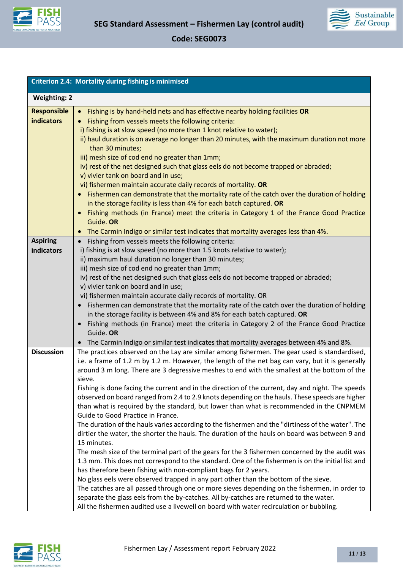



|                                         | <b>Criterion 2.4: Mortality during fishing is minimised</b>                                                                                                                                                                                                                                                                                                                                                                                                                                                                                                                                                                                                                                                                                                                                                                                                                                                                                                                                  |
|-----------------------------------------|----------------------------------------------------------------------------------------------------------------------------------------------------------------------------------------------------------------------------------------------------------------------------------------------------------------------------------------------------------------------------------------------------------------------------------------------------------------------------------------------------------------------------------------------------------------------------------------------------------------------------------------------------------------------------------------------------------------------------------------------------------------------------------------------------------------------------------------------------------------------------------------------------------------------------------------------------------------------------------------------|
| <b>Weighting: 2</b>                     |                                                                                                                                                                                                                                                                                                                                                                                                                                                                                                                                                                                                                                                                                                                                                                                                                                                                                                                                                                                              |
| <b>Responsible</b><br><b>indicators</b> | Fishing is by hand-held nets and has effective nearby holding facilities OR<br>$\bullet$<br>Fishing from vessels meets the following criteria:<br>i) fishing is at slow speed (no more than 1 knot relative to water);<br>ii) haul duration is on average no longer than 20 minutes, with the maximum duration not more<br>than 30 minutes;<br>iii) mesh size of cod end no greater than 1mm;<br>iv) rest of the net designed such that glass eels do not become trapped or abraded;<br>v) vivier tank on board and in use;<br>vi) fishermen maintain accurate daily records of mortality. OR<br>• Fishermen can demonstrate that the mortality rate of the catch over the duration of holding<br>in the storage facility is less than 4% for each batch captured. OR<br>Fishing methods (in France) meet the criteria in Category 1 of the France Good Practice<br>$\bullet$<br>Guide. OR<br>The Carmin Indigo or similar test indicates that mortality averages less than 4%.<br>$\bullet$ |
| <b>Aspiring</b>                         | Fishing from vessels meets the following criteria:<br>$\bullet$                                                                                                                                                                                                                                                                                                                                                                                                                                                                                                                                                                                                                                                                                                                                                                                                                                                                                                                              |
| indicators                              | i) fishing is at slow speed (no more than 1.5 knots relative to water);<br>ii) maximum haul duration no longer than 30 minutes;<br>iii) mesh size of cod end no greater than 1mm;                                                                                                                                                                                                                                                                                                                                                                                                                                                                                                                                                                                                                                                                                                                                                                                                            |
|                                         | iv) rest of the net designed such that glass eels do not become trapped or abraded;<br>v) vivier tank on board and in use;                                                                                                                                                                                                                                                                                                                                                                                                                                                                                                                                                                                                                                                                                                                                                                                                                                                                   |
|                                         | vi) fishermen maintain accurate daily records of mortality. OR<br>Fishermen can demonstrate that the mortality rate of the catch over the duration of holding<br>in the storage facility is between 4% and 8% for each batch captured. OR<br>Fishing methods (in France) meet the criteria in Category 2 of the France Good Practice<br>$\bullet$<br>Guide. OR<br>The Carmin Indigo or similar test indicates that mortality averages between 4% and 8%.<br>$\bullet$                                                                                                                                                                                                                                                                                                                                                                                                                                                                                                                        |
| <b>Discussion</b>                       | The practices observed on the Lay are similar among fishermen. The gear used is standardised,<br>i.e. a frame of 1.2 m by 1.2 m. However, the length of the net bag can vary, but it is generally<br>around 3 m long. There are 3 degressive meshes to end with the smallest at the bottom of the<br>sieve.<br>Fishing is done facing the current and in the direction of the current, day and night. The speeds<br>observed on board ranged from 2.4 to 2.9 knots depending on the hauls. These speeds are higher<br>than what is required by the standard, but lower than what is recommended in the CNPMEM<br>Guide to Good Practice in France.                                                                                                                                                                                                                                                                                                                                           |
|                                         | The duration of the hauls varies according to the fishermen and the "dirtiness of the water". The<br>dirtier the water, the shorter the hauls. The duration of the hauls on board was between 9 and<br>15 minutes.<br>The mesh size of the terminal part of the gears for the 3 fishermen concerned by the audit was<br>1.3 mm. This does not correspond to the standard. One of the fishermen is on the initial list and<br>has therefore been fishing with non-compliant bags for 2 years.<br>No glass eels were observed trapped in any part other than the bottom of the sieve.<br>The catches are all passed through one or more sieves depending on the fishermen, in order to<br>separate the glass eels from the by-catches. All by-catches are returned to the water.<br>All the fishermen audited use a livewell on board with water recirculation or bubbling.                                                                                                                    |

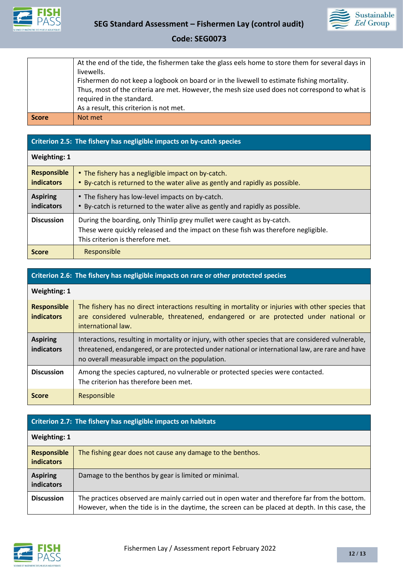



|              | At the end of the tide, the fishermen take the glass eels home to store them for several days in<br>livewells.                                                                               |
|--------------|----------------------------------------------------------------------------------------------------------------------------------------------------------------------------------------------|
|              | Fishermen do not keep a logbook on board or in the livewell to estimate fishing mortality.<br>Thus, most of the criteria are met. However, the mesh size used does not correspond to what is |
|              | required in the standard.<br>As a result, this criterion is not met.                                                                                                                         |
| <b>Score</b> | Not met                                                                                                                                                                                      |

## **Criterion 2.5: The fishery has negligible impacts on by-catch species**

| <b>Weighting: 1</b>                     |                                                                                                                                                                                                  |
|-----------------------------------------|--------------------------------------------------------------------------------------------------------------------------------------------------------------------------------------------------|
| <b>Responsible</b><br><b>indicators</b> | • The fishery has a negligible impact on by-catch.<br>• By-catch is returned to the water alive as gently and rapidly as possible.                                                               |
| <b>Aspiring</b><br><b>indicators</b>    | • The fishery has low-level impacts on by-catch.<br>• By-catch is returned to the water alive as gently and rapidly as possible.                                                                 |
| <b>Discussion</b>                       | During the boarding, only Thinlip grey mullet were caught as by-catch.<br>These were quickly released and the impact on these fish was therefore negligible.<br>This criterion is therefore met. |
| <b>Score</b>                            | Responsible                                                                                                                                                                                      |

# **Criterion 2.6: The fishery has negligible impacts on rare or other protected species**

| <b>Weighting: 1</b>                     |                                                                                                                                                                                                                                                          |
|-----------------------------------------|----------------------------------------------------------------------------------------------------------------------------------------------------------------------------------------------------------------------------------------------------------|
| <b>Responsible</b><br><b>indicators</b> | The fishery has no direct interactions resulting in mortality or injuries with other species that<br>are considered vulnerable, threatened, endangered or are protected under national or<br>international law.                                          |
| <b>Aspiring</b><br>indicators           | Interactions, resulting in mortality or injury, with other species that are considered vulnerable,<br>threatened, endangered, or are protected under national or international law, are rare and have<br>no overall measurable impact on the population. |
| <b>Discussion</b>                       | Among the species captured, no vulnerable or protected species were contacted.<br>The criterion has therefore been met.                                                                                                                                  |
| <b>Score</b>                            | Responsible                                                                                                                                                                                                                                              |

## **Criterion 2.7: The fishery has negligible impacts on habitats**

| Weighting: 1                            |                                                                                                                                                                                                  |  |
|-----------------------------------------|--------------------------------------------------------------------------------------------------------------------------------------------------------------------------------------------------|--|
| <b>Responsible</b><br><b>indicators</b> | The fishing gear does not cause any damage to the benthos.                                                                                                                                       |  |
| <b>Aspiring</b><br><b>indicators</b>    | Damage to the benthos by gear is limited or minimal.                                                                                                                                             |  |
| <b>Discussion</b>                       | The practices observed are mainly carried out in open water and therefore far from the bottom.<br>However, when the tide is in the daytime, the screen can be placed at depth. In this case, the |  |